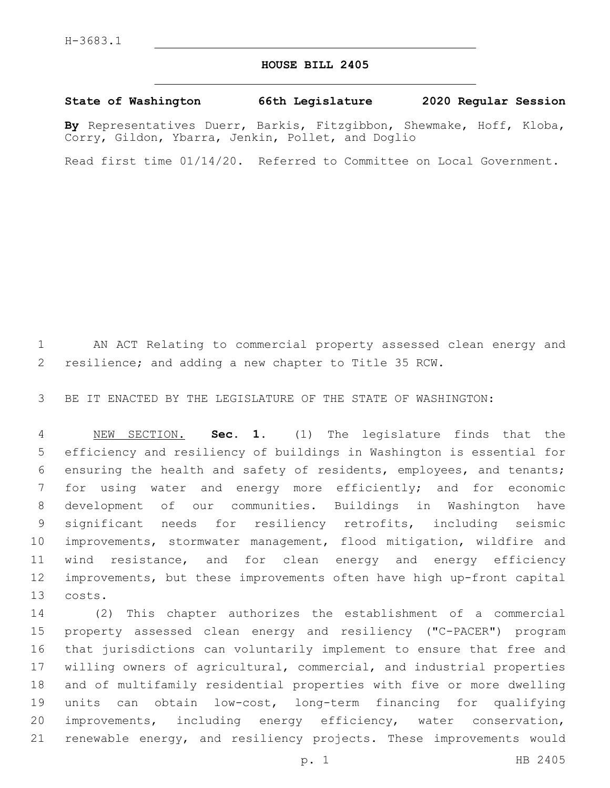## **HOUSE BILL 2405**

## **State of Washington 66th Legislature 2020 Regular Session**

**By** Representatives Duerr, Barkis, Fitzgibbon, Shewmake, Hoff, Kloba, Corry, Gildon, Ybarra, Jenkin, Pollet, and Doglio

Read first time 01/14/20. Referred to Committee on Local Government.

 AN ACT Relating to commercial property assessed clean energy and resilience; and adding a new chapter to Title 35 RCW.

BE IT ENACTED BY THE LEGISLATURE OF THE STATE OF WASHINGTON:

 NEW SECTION. **Sec. 1.** (1) The legislature finds that the efficiency and resiliency of buildings in Washington is essential for ensuring the health and safety of residents, employees, and tenants; for using water and energy more efficiently; and for economic development of our communities. Buildings in Washington have significant needs for resiliency retrofits, including seismic improvements, stormwater management, flood mitigation, wildfire and wind resistance, and for clean energy and energy efficiency improvements, but these improvements often have high up-front capital costs.

 (2) This chapter authorizes the establishment of a commercial property assessed clean energy and resiliency ("C-PACER") program that jurisdictions can voluntarily implement to ensure that free and willing owners of agricultural, commercial, and industrial properties and of multifamily residential properties with five or more dwelling units can obtain low-cost, long-term financing for qualifying improvements, including energy efficiency, water conservation, renewable energy, and resiliency projects. These improvements would

p. 1 HB 2405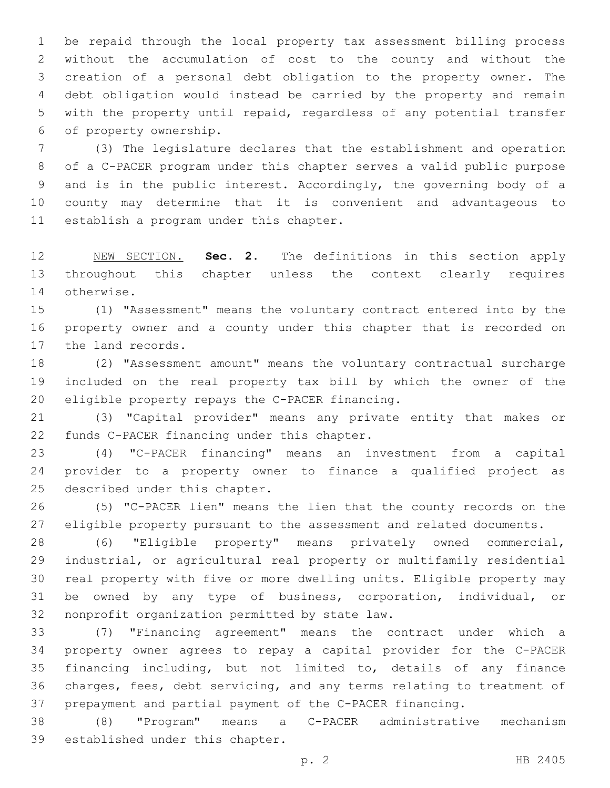be repaid through the local property tax assessment billing process without the accumulation of cost to the county and without the creation of a personal debt obligation to the property owner. The debt obligation would instead be carried by the property and remain with the property until repaid, regardless of any potential transfer 6 of property ownership.

 (3) The legislature declares that the establishment and operation of a C-PACER program under this chapter serves a valid public purpose and is in the public interest. Accordingly, the governing body of a county may determine that it is convenient and advantageous to 11 establish a program under this chapter.

 NEW SECTION. **Sec. 2.** The definitions in this section apply throughout this chapter unless the context clearly requires otherwise.

 (1) "Assessment" means the voluntary contract entered into by the property owner and a county under this chapter that is recorded on 17 the land records.

 (2) "Assessment amount" means the voluntary contractual surcharge included on the real property tax bill by which the owner of the 20 eligible property repays the C-PACER financing.

 (3) "Capital provider" means any private entity that makes or 22 funds C-PACER financing under this chapter.

 (4) "C-PACER financing" means an investment from a capital provider to a property owner to finance a qualified project as 25 described under this chapter.

 (5) "C-PACER lien" means the lien that the county records on the eligible property pursuant to the assessment and related documents.

 (6) "Eligible property" means privately owned commercial, industrial, or agricultural real property or multifamily residential real property with five or more dwelling units. Eligible property may be owned by any type of business, corporation, individual, or 32 nonprofit organization permitted by state law.

 (7) "Financing agreement" means the contract under which a property owner agrees to repay a capital provider for the C-PACER financing including, but not limited to, details of any finance charges, fees, debt servicing, and any terms relating to treatment of prepayment and partial payment of the C-PACER financing.

 (8) "Program" means a C-PACER administrative mechanism 39 established under this chapter.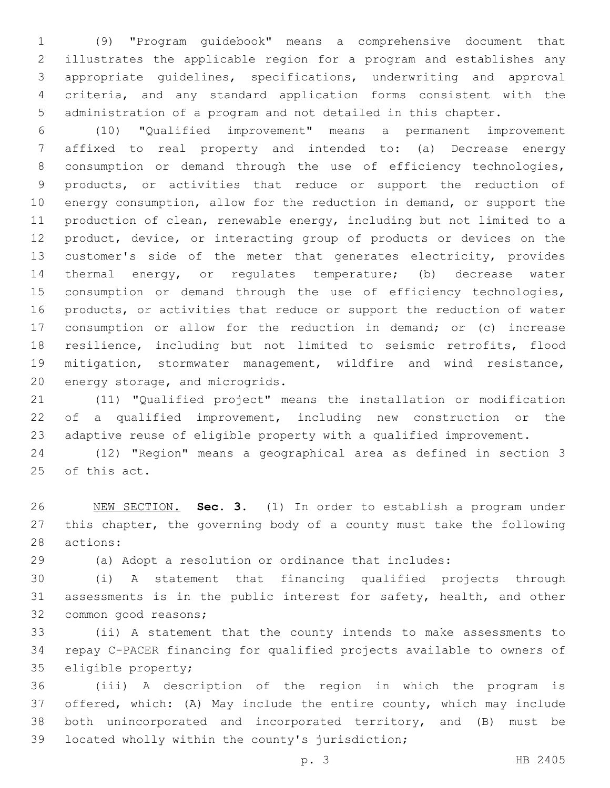(9) "Program guidebook" means a comprehensive document that illustrates the applicable region for a program and establishes any appropriate guidelines, specifications, underwriting and approval criteria, and any standard application forms consistent with the administration of a program and not detailed in this chapter.

 (10) "Qualified improvement" means a permanent improvement affixed to real property and intended to: (a) Decrease energy consumption or demand through the use of efficiency technologies, products, or activities that reduce or support the reduction of energy consumption, allow for the reduction in demand, or support the production of clean, renewable energy, including but not limited to a product, device, or interacting group of products or devices on the 13 customer's side of the meter that generates electricity, provides thermal energy, or regulates temperature; (b) decrease water 15 consumption or demand through the use of efficiency technologies, products, or activities that reduce or support the reduction of water consumption or allow for the reduction in demand; or (c) increase resilience, including but not limited to seismic retrofits, flood mitigation, stormwater management, wildfire and wind resistance, 20 energy storage, and microgrids.

 (11) "Qualified project" means the installation or modification of a qualified improvement, including new construction or the adaptive reuse of eligible property with a qualified improvement.

 (12) "Region" means a geographical area as defined in section 3 25 of this act.

 NEW SECTION. **Sec. 3.** (1) In order to establish a program under this chapter, the governing body of a county must take the following actions:

(a) Adopt a resolution or ordinance that includes:

 (i) A statement that financing qualified projects through assessments is in the public interest for safety, health, and other 32 common good reasons;

 (ii) A statement that the county intends to make assessments to repay C-PACER financing for qualified projects available to owners of 35 eligible property;

 (iii) A description of the region in which the program is offered, which: (A) May include the entire county, which may include both unincorporated and incorporated territory, and (B) must be 39 located wholly within the county's jurisdiction;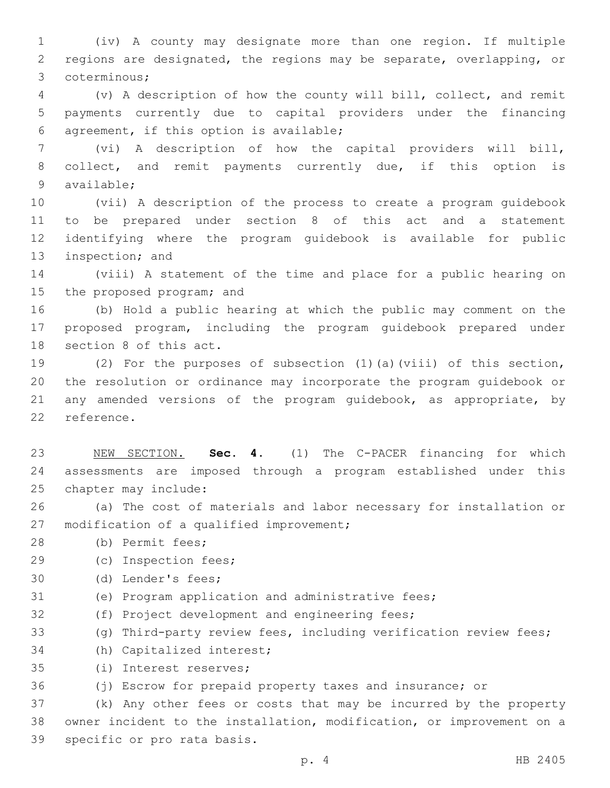1 (iv) A county may designate more than one region. If multiple 2 regions are designated, the regions may be separate, overlapping, or 3 coterminous;

4 (v) A description of how the county will bill, collect, and remit 5 payments currently due to capital providers under the financing agreement, if this option is available;6

7 (vi) A description of how the capital providers will bill, 8 collect, and remit payments currently due, if this option is 9 available;

 (vii) A description of the process to create a program guidebook to be prepared under section 8 of this act and a statement identifying where the program guidebook is available for public 13 inspection; and

14 (viii) A statement of the time and place for a public hearing on 15 the proposed program; and

16 (b) Hold a public hearing at which the public may comment on the 17 proposed program, including the program guidebook prepared under 18 section 8 of this act.

19 (2) For the purposes of subsection (1)(a)(viii) of this section, 20 the resolution or ordinance may incorporate the program guidebook or 21 any amended versions of the program guidebook, as appropriate, by 22 reference.

23 NEW SECTION. **Sec. 4.** (1) The C-PACER financing for which 24 assessments are imposed through a program established under this 25 chapter may include:

26 (a) The cost of materials and labor necessary for installation or 27 modification of a qualified improvement;

28 (b) Permit fees;

29 (c) Inspection fees;

30 (d) Lender's fees;

31 (e) Program application and administrative fees;

32 (f) Project development and engineering fees;

33 (g) Third-party review fees, including verification review fees;

34 (h) Capitalized interest;

(i) Interest reserves;35

36 (j) Escrow for prepaid property taxes and insurance; or

37 (k) Any other fees or costs that may be incurred by the property 38 owner incident to the installation, modification, or improvement on a 39 specific or pro rata basis.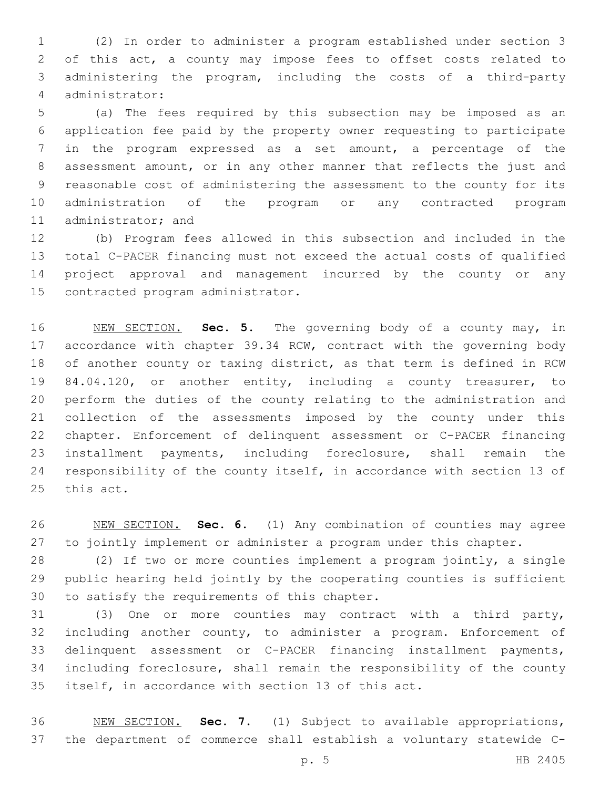(2) In order to administer a program established under section 3 of this act, a county may impose fees to offset costs related to administering the program, including the costs of a third-party administrator:4

 (a) The fees required by this subsection may be imposed as an application fee paid by the property owner requesting to participate in the program expressed as a set amount, a percentage of the assessment amount, or in any other manner that reflects the just and reasonable cost of administering the assessment to the county for its administration of the program or any contracted program 11 administrator; and

 (b) Program fees allowed in this subsection and included in the total C-PACER financing must not exceed the actual costs of qualified project approval and management incurred by the county or any 15 contracted program administrator.

 NEW SECTION. **Sec. 5.** The governing body of a county may, in 17 accordance with chapter 39.34 RCW, contract with the governing body of another county or taxing district, as that term is defined in RCW 84.04.120, or another entity, including a county treasurer, to perform the duties of the county relating to the administration and collection of the assessments imposed by the county under this chapter. Enforcement of delinquent assessment or C-PACER financing installment payments, including foreclosure, shall remain the responsibility of the county itself, in accordance with section 13 of this act.

 NEW SECTION. **Sec. 6.** (1) Any combination of counties may agree to jointly implement or administer a program under this chapter.

 (2) If two or more counties implement a program jointly, a single public hearing held jointly by the cooperating counties is sufficient 30 to satisfy the requirements of this chapter.

 (3) One or more counties may contract with a third party, including another county, to administer a program. Enforcement of delinquent assessment or C-PACER financing installment payments, including foreclosure, shall remain the responsibility of the county itself, in accordance with section 13 of this act.

 NEW SECTION. **Sec. 7.** (1) Subject to available appropriations, the department of commerce shall establish a voluntary statewide C-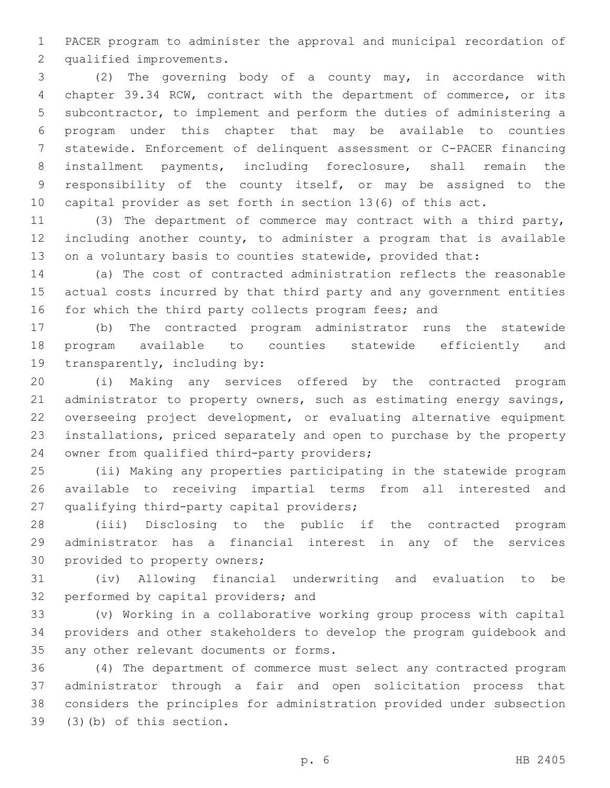PACER program to administer the approval and municipal recordation of 2 qualified improvements.

 (2) The governing body of a county may, in accordance with chapter 39.34 RCW, contract with the department of commerce, or its subcontractor, to implement and perform the duties of administering a program under this chapter that may be available to counties statewide. Enforcement of delinquent assessment or C-PACER financing installment payments, including foreclosure, shall remain the responsibility of the county itself, or may be assigned to the capital provider as set forth in section 13(6) of this act.

 (3) The department of commerce may contract with a third party, including another county, to administer a program that is available on a voluntary basis to counties statewide, provided that:

 (a) The cost of contracted administration reflects the reasonable actual costs incurred by that third party and any government entities 16 for which the third party collects program fees; and

 (b) The contracted program administrator runs the statewide program available to counties statewide efficiently and 19 transparently, including by:

 (i) Making any services offered by the contracted program 21 administrator to property owners, such as estimating energy savings, overseeing project development, or evaluating alternative equipment installations, priced separately and open to purchase by the property 24 owner from qualified third-party providers;

 (ii) Making any properties participating in the statewide program available to receiving impartial terms from all interested and 27 qualifying third-party capital providers;

 (iii) Disclosing to the public if the contracted program administrator has a financial interest in any of the services 30 provided to property owners;

 (iv) Allowing financial underwriting and evaluation to be 32 performed by capital providers; and

 (v) Working in a collaborative working group process with capital providers and other stakeholders to develop the program guidebook and 35 any other relevant documents or forms.

 (4) The department of commerce must select any contracted program administrator through a fair and open solicitation process that considers the principles for administration provided under subsection  $(3)(b)$  of this section.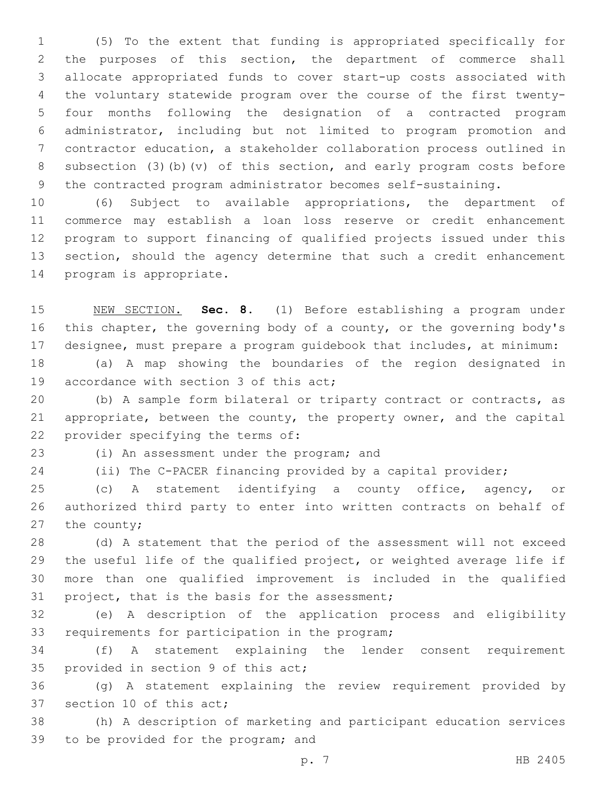(5) To the extent that funding is appropriated specifically for the purposes of this section, the department of commerce shall allocate appropriated funds to cover start-up costs associated with the voluntary statewide program over the course of the first twenty- four months following the designation of a contracted program administrator, including but not limited to program promotion and contractor education, a stakeholder collaboration process outlined in subsection (3)(b)(v) of this section, and early program costs before the contracted program administrator becomes self-sustaining.

 (6) Subject to available appropriations, the department of commerce may establish a loan loss reserve or credit enhancement program to support financing of qualified projects issued under this 13 section, should the agency determine that such a credit enhancement 14 program is appropriate.

 NEW SECTION. **Sec. 8.** (1) Before establishing a program under this chapter, the governing body of a county, or the governing body's designee, must prepare a program guidebook that includes, at minimum:

 (a) A map showing the boundaries of the region designated in 19 accordance with section 3 of this act;

 (b) A sample form bilateral or triparty contract or contracts, as appropriate, between the county, the property owner, and the capital 22 provider specifying the terms of:

(i) An assessment under the program; and

(ii) The C-PACER financing provided by a capital provider;

 (c) A statement identifying a county office, agency, or authorized third party to enter into written contracts on behalf of 27 the county;

 (d) A statement that the period of the assessment will not exceed the useful life of the qualified project, or weighted average life if more than one qualified improvement is included in the qualified 31 project, that is the basis for the assessment;

 (e) A description of the application process and eligibility 33 requirements for participation in the program;

 (f) A statement explaining the lender consent requirement 35 provided in section 9 of this act;

 (g) A statement explaining the review requirement provided by 37 section 10 of this act;

 (h) A description of marketing and participant education services 39 to be provided for the program; and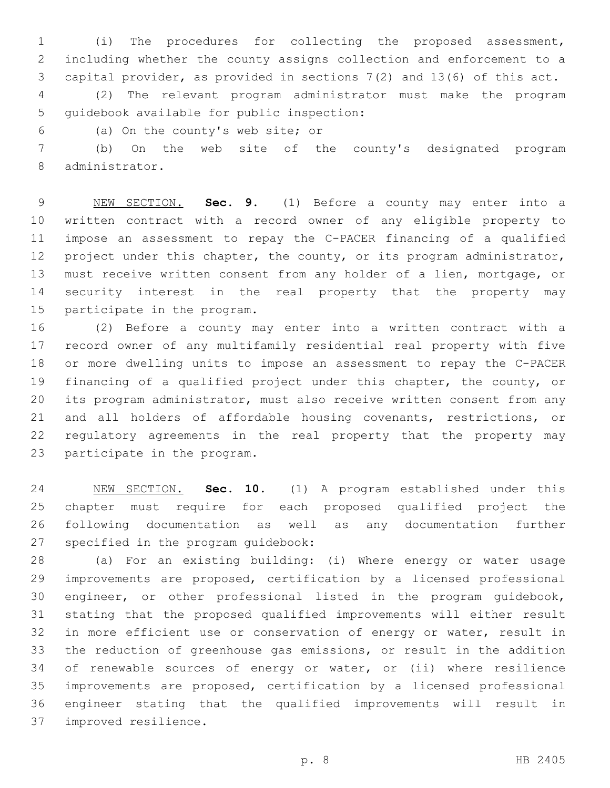(i) The procedures for collecting the proposed assessment, including whether the county assigns collection and enforcement to a capital provider, as provided in sections 7(2) and 13(6) of this act.

 (2) The relevant program administrator must make the program 5 quidebook available for public inspection:

(a) On the county's web site; or6

 (b) On the web site of the county's designated program 8 administrator.

 NEW SECTION. **Sec. 9.** (1) Before a county may enter into a written contract with a record owner of any eligible property to impose an assessment to repay the C-PACER financing of a qualified 12 project under this chapter, the county, or its program administrator, must receive written consent from any holder of a lien, mortgage, or security interest in the real property that the property may participate in the program.

 (2) Before a county may enter into a written contract with a record owner of any multifamily residential real property with five or more dwelling units to impose an assessment to repay the C-PACER financing of a qualified project under this chapter, the county, or its program administrator, must also receive written consent from any and all holders of affordable housing covenants, restrictions, or regulatory agreements in the real property that the property may 23 participate in the program.

 NEW SECTION. **Sec. 10.** (1) A program established under this chapter must require for each proposed qualified project the following documentation as well as any documentation further specified in the program guidebook:

 (a) For an existing building: (i) Where energy or water usage improvements are proposed, certification by a licensed professional engineer, or other professional listed in the program guidebook, stating that the proposed qualified improvements will either result in more efficient use or conservation of energy or water, result in the reduction of greenhouse gas emissions, or result in the addition of renewable sources of energy or water, or (ii) where resilience improvements are proposed, certification by a licensed professional engineer stating that the qualified improvements will result in 37 improved resilience.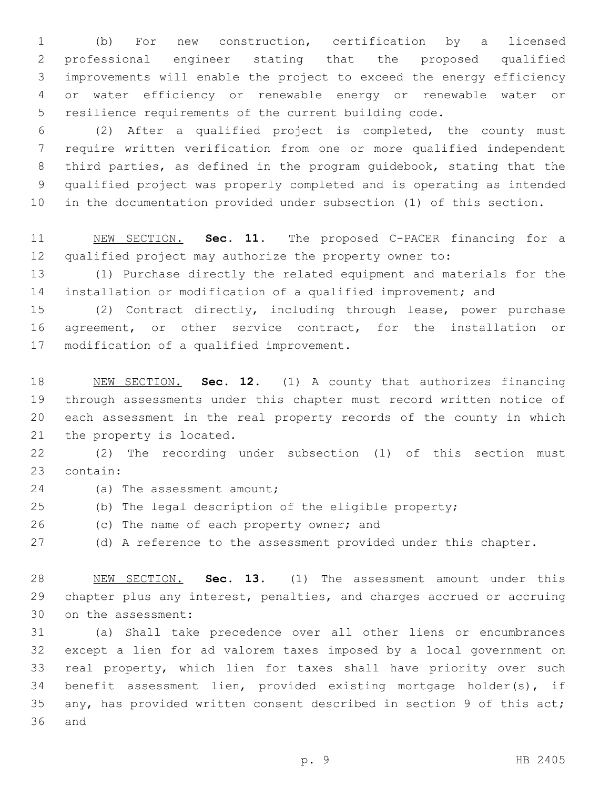(b) For new construction, certification by a licensed professional engineer stating that the proposed qualified improvements will enable the project to exceed the energy efficiency or water efficiency or renewable energy or renewable water or resilience requirements of the current building code.

 (2) After a qualified project is completed, the county must require written verification from one or more qualified independent third parties, as defined in the program guidebook, stating that the qualified project was properly completed and is operating as intended in the documentation provided under subsection (1) of this section.

 NEW SECTION. **Sec. 11.** The proposed C-PACER financing for a qualified project may authorize the property owner to:

 (1) Purchase directly the related equipment and materials for the installation or modification of a qualified improvement; and

 (2) Contract directly, including through lease, power purchase agreement, or other service contract, for the installation or 17 modification of a qualified improvement.

 NEW SECTION. **Sec. 12.** (1) A county that authorizes financing through assessments under this chapter must record written notice of each assessment in the real property records of the county in which the property is located.

 (2) The recording under subsection (1) of this section must 23 contain:

- 24 (a) The assessment amount;
- (b) The legal description of the eligible property;
- 26 (c) The name of each property owner; and
- (d) A reference to the assessment provided under this chapter.

 NEW SECTION. **Sec. 13.** (1) The assessment amount under this chapter plus any interest, penalties, and charges accrued or accruing on the assessment:

 (a) Shall take precedence over all other liens or encumbrances except a lien for ad valorem taxes imposed by a local government on real property, which lien for taxes shall have priority over such benefit assessment lien, provided existing mortgage holder(s), if any, has provided written consent described in section 9 of this act; 36 and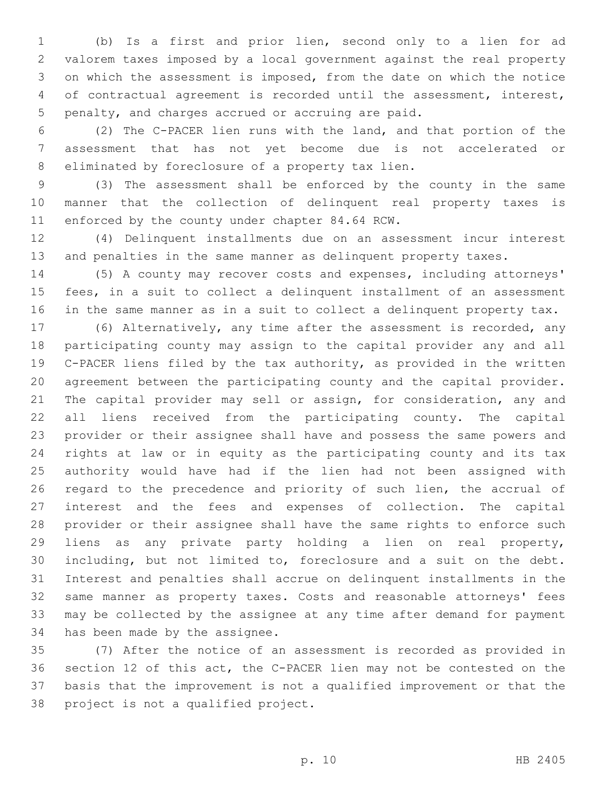(b) Is a first and prior lien, second only to a lien for ad valorem taxes imposed by a local government against the real property on which the assessment is imposed, from the date on which the notice of contractual agreement is recorded until the assessment, interest, 5 penalty, and charges accrued or accruing are paid.

 (2) The C-PACER lien runs with the land, and that portion of the assessment that has not yet become due is not accelerated or 8 eliminated by foreclosure of a property tax lien.

 (3) The assessment shall be enforced by the county in the same manner that the collection of delinquent real property taxes is 11 enforced by the county under chapter 84.64 RCW.

 (4) Delinquent installments due on an assessment incur interest and penalties in the same manner as delinquent property taxes.

 (5) A county may recover costs and expenses, including attorneys' fees, in a suit to collect a delinquent installment of an assessment in the same manner as in a suit to collect a delinquent property tax.

 (6) Alternatively, any time after the assessment is recorded, any participating county may assign to the capital provider any and all C-PACER liens filed by the tax authority, as provided in the written agreement between the participating county and the capital provider. 21 The capital provider may sell or assign, for consideration, any and all liens received from the participating county. The capital provider or their assignee shall have and possess the same powers and rights at law or in equity as the participating county and its tax authority would have had if the lien had not been assigned with 26 regard to the precedence and priority of such lien, the accrual of interest and the fees and expenses of collection. The capital provider or their assignee shall have the same rights to enforce such liens as any private party holding a lien on real property, including, but not limited to, foreclosure and a suit on the debt. Interest and penalties shall accrue on delinquent installments in the same manner as property taxes. Costs and reasonable attorneys' fees may be collected by the assignee at any time after demand for payment 34 has been made by the assignee.

 (7) After the notice of an assessment is recorded as provided in section 12 of this act, the C-PACER lien may not be contested on the basis that the improvement is not a qualified improvement or that the 38 project is not a qualified project.